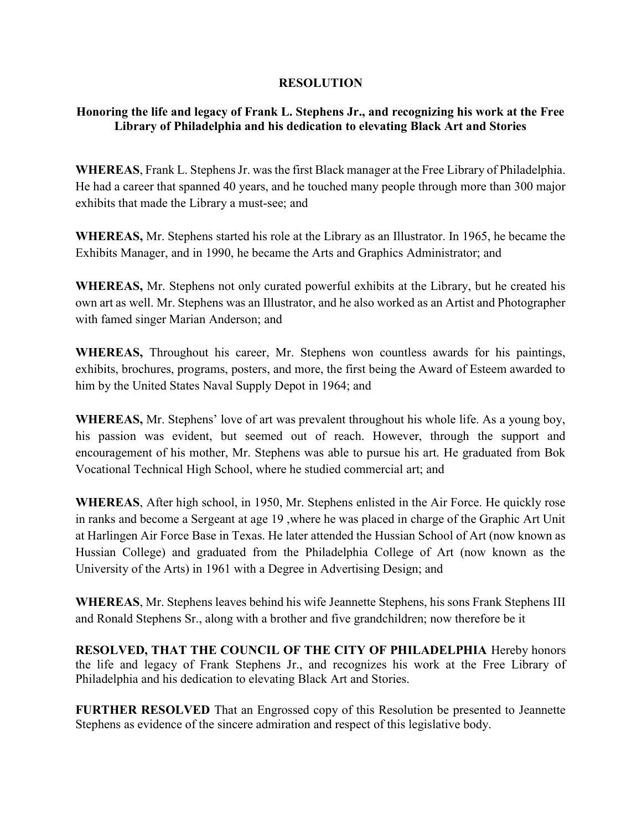## RESOLUTION

## Honoring the life and legacy of Frank L. Stephens Jr., and recognizing his work at the Free Library of Philadelphia and his dedication to elevating Black Art and Stories

WHEREAS, Frank L. Stephens Jr. was the first Black manager at the Free Library of Philadelphia. He had a career that spanned 40 years, and he touched many people through more than 300 major exhibits that made the Library a must-see; and

WHEREAS, Mr. Stephens started his role at the Library as an Illustrator. In 1965, he became the Exhibits Manager, and in 1990, he became the Arts and Graphics Administrator; and

WHEREAS, Mr. Stephens not only curated powerful exhibits at the Library, but he created his own art as well. Mr. Stephens was an Illustrator, and he also worked as an Artist and Photographer with famed singer Marian Anderson; and

WHEREAS, Throughout his career, Mr. Stephens won countless awards for his paintings, exhibits, brochures, programs, posters, and more, the first being the Award of Esteem awarded to him by the United States Naval Supply Depot in 1964; and

WHEREAS, Mr. Stephens' love of art was prevalent throughout his whole life. As a young boy, his passion was evident, but seemed out of reach. However, through the support and encouragement of his mother, Mr. Stephens was able to pursue his art. He graduated from Bok Vocational Technical High School, where he studied commercial art; and

WHEREAS, After high school, in 1950, Mr. Stephens enlisted in the Air Force. He quickly rose in ranks and become a Sergeant at age 19 ,where he was placed in charge of the Graphic Art Unit at Harlingen Air Force Base in Texas. He later attended the Hussian School of Art (now known as Hussian College) and graduated from the Philadelphia College of Art (now known as the University of the Arts) in 1961 with a Degree in Advertising Design; and

WHEREAS, Mr. Stephens leaves behind his wife Jeannette Stephens, his sons Frank Stephens III and Ronald Stephens Sr., along with a brother and five grandchildren; now therefore be it

RESOLVED, THAT THE COUNCIL OF THE CITY OF PHILADELPHIA Hereby honors the life and legacy of Frank Stephens Jr., and recognizes his work at the Free Library of Philadelphia and his dedication to elevating Black Art and Stories.

FURTHER RESOLVED That an Engrossed copy of this Resolution be presented to Jeannette Stephens as evidence of the sincere admiration and respect of this legislative body.